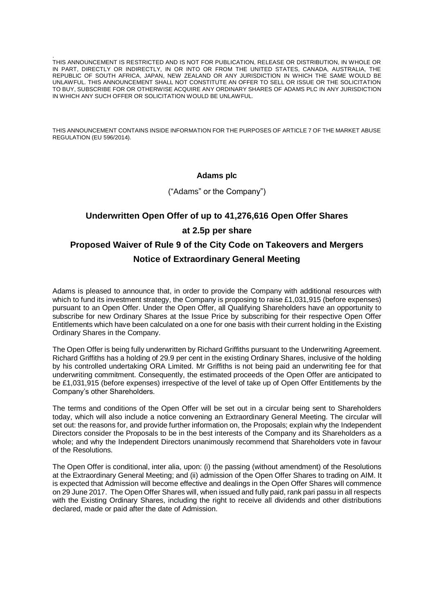. THIS ANNOUNCEMENT IS RESTRICTED AND IS NOT FOR PUBLICATION, RELEASE OR DISTRIBUTION, IN WHOLE OR IN PART, DIRECTLY OR INDIRECTLY, IN OR INTO OR FROM THE UNITED STATES, CANADA, AUSTRALIA, THE REPUBLIC OF SOUTH AFRICA, JAPAN, NEW ZEALAND OR ANY JURISDICTION IN WHICH THE SAME WOULD BE UNLAWFUL. THIS ANNOUNCEMENT SHALL NOT CONSTITUTE AN OFFER TO SELL OR ISSUE OR THE SOLICITATION TO BUY, SUBSCRIBE FOR OR OTHERWISE ACQUIRE ANY ORDINARY SHARES OF ADAMS PLC IN ANY JURISDICTION IN WHICH ANY SUCH OFFER OR SOLICITATION WOULD BE UNLAWFUL.

THIS ANNOUNCEMENT CONTAINS INSIDE INFORMATION FOR THE PURPOSES OF ARTICLE 7 OF THE MARKET ABUSE REGULATION (EU 596/2014).

#### **Adams plc**

("Adams" or the Company")

# **Underwritten Open Offer of up to 41,276,616 Open Offer Shares at 2.5p per share Proposed Waiver of Rule 9 of the City Code on Takeovers and Mergers Notice of Extraordinary General Meeting**

Adams is pleased to announce that, in order to provide the Company with additional resources with which to fund its investment strategy, the Company is proposing to raise £1,031,915 (before expenses) pursuant to an Open Offer. Under the Open Offer, all Qualifying Shareholders have an opportunity to subscribe for new Ordinary Shares at the Issue Price by subscribing for their respective Open Offer Entitlements which have been calculated on a one for one basis with their current holding in the Existing Ordinary Shares in the Company.

The Open Offer is being fully underwritten by Richard Griffiths pursuant to the Underwriting Agreement. Richard Griffiths has a holding of 29.9 per cent in the existing Ordinary Shares, inclusive of the holding by his controlled undertaking ORA Limited. Mr Griffiths is not being paid an underwriting fee for that underwriting commitment. Consequently, the estimated proceeds of the Open Offer are anticipated to be £1,031,915 (before expenses) irrespective of the level of take up of Open Offer Entitlements by the Company's other Shareholders.

The terms and conditions of the Open Offer will be set out in a circular being sent to Shareholders today, which will also include a notice convening an Extraordinary General Meeting. The circular will set out: the reasons for, and provide further information on, the Proposals; explain why the Independent Directors consider the Proposals to be in the best interests of the Company and its Shareholders as a whole; and why the Independent Directors unanimously recommend that Shareholders vote in favour of the Resolutions.

The Open Offer is conditional, inter alia, upon: (i) the passing (without amendment) of the Resolutions at the Extraordinary General Meeting; and (ii) admission of the Open Offer Shares to trading on AIM. It is expected that Admission will become effective and dealings in the Open Offer Shares will commence on 29 June 2017. The Open Offer Shares will, when issued and fully paid, rank pari passu in all respects with the Existing Ordinary Shares, including the right to receive all dividends and other distributions declared, made or paid after the date of Admission.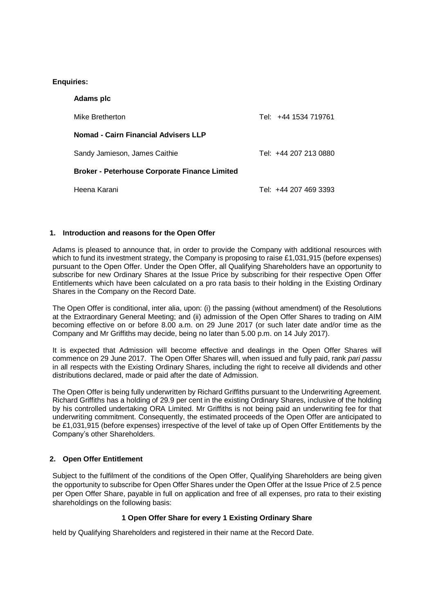## **Enquiries:**

| Adams plc                                            |                       |
|------------------------------------------------------|-----------------------|
| Mike Bretherton                                      | Tel: +44 1534 719761  |
| Nomad - Cairn Financial Advisers LLP                 |                       |
| Sandy Jamieson, James Caithie                        | Tel: +44 207 213 0880 |
| <b>Broker - Peterhouse Corporate Finance Limited</b> |                       |
| Heena Karani                                         | Tel: +44 207 469 3393 |

## **1. Introduction and reasons for the Open Offer**

Adams is pleased to announce that, in order to provide the Company with additional resources with which to fund its investment strategy, the Company is proposing to raise £1,031,915 (before expenses) pursuant to the Open Offer. Under the Open Offer, all Qualifying Shareholders have an opportunity to subscribe for new Ordinary Shares at the Issue Price by subscribing for their respective Open Offer Entitlements which have been calculated on a pro rata basis to their holding in the Existing Ordinary Shares in the Company on the Record Date.

The Open Offer is conditional, inter alia, upon: (i) the passing (without amendment) of the Resolutions at the Extraordinary General Meeting; and (ii) admission of the Open Offer Shares to trading on AIM becoming effective on or before 8.00 a.m. on 29 June 2017 (or such later date and/or time as the Company and Mr Griffiths may decide, being no later than 5.00 p.m. on 14 July 2017).

It is expected that Admission will become effective and dealings in the Open Offer Shares will commence on 29 June 2017. The Open Offer Shares will, when issued and fully paid, rank *pari passu* in all respects with the Existing Ordinary Shares, including the right to receive all dividends and other distributions declared, made or paid after the date of Admission.

The Open Offer is being fully underwritten by Richard Griffiths pursuant to the Underwriting Agreement. Richard Griffiths has a holding of 29.9 per cent in the existing Ordinary Shares, inclusive of the holding by his controlled undertaking ORA Limited. Mr Griffiths is not being paid an underwriting fee for that underwriting commitment. Consequently, the estimated proceeds of the Open Offer are anticipated to be £1,031,915 (before expenses) irrespective of the level of take up of Open Offer Entitlements by the Company's other Shareholders.

## **2. Open Offer Entitlement**

Subject to the fulfilment of the conditions of the Open Offer, Qualifying Shareholders are being given the opportunity to subscribe for Open Offer Shares under the Open Offer at the Issue Price of 2.5 pence per Open Offer Share, payable in full on application and free of all expenses, pro rata to their existing shareholdings on the following basis:

## **1 Open Offer Share for every 1 Existing Ordinary Share**

held by Qualifying Shareholders and registered in their name at the Record Date.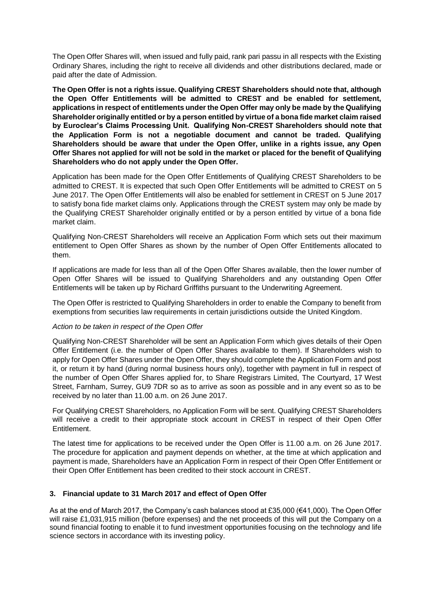The Open Offer Shares will, when issued and fully paid, rank pari passu in all respects with the Existing Ordinary Shares, including the right to receive all dividends and other distributions declared, made or paid after the date of Admission.

**The Open Offer is not a rights issue. Qualifying CREST Shareholders should note that, although the Open Offer Entitlements will be admitted to CREST and be enabled for settlement, applications in respect of entitlements under the Open Offer may only be made by the Qualifying Shareholder originally entitled or by a person entitled by virtue of a bona fide market claim raised by Euroclear's Claims Processing Unit. Qualifying Non-CREST Shareholders should note that the Application Form is not a negotiable document and cannot be traded. Qualifying Shareholders should be aware that under the Open Offer, unlike in a rights issue, any Open Offer Shares not applied for will not be sold in the market or placed for the benefit of Qualifying Shareholders who do not apply under the Open Offer.** 

Application has been made for the Open Offer Entitlements of Qualifying CREST Shareholders to be admitted to CREST. It is expected that such Open Offer Entitlements will be admitted to CREST on 5 June 2017. The Open Offer Entitlements will also be enabled for settlement in CREST on 5 June 2017 to satisfy bona fide market claims only. Applications through the CREST system may only be made by the Qualifying CREST Shareholder originally entitled or by a person entitled by virtue of a bona fide market claim.

Qualifying Non-CREST Shareholders will receive an Application Form which sets out their maximum entitlement to Open Offer Shares as shown by the number of Open Offer Entitlements allocated to them.

If applications are made for less than all of the Open Offer Shares available, then the lower number of Open Offer Shares will be issued to Qualifying Shareholders and any outstanding Open Offer Entitlements will be taken up by Richard Griffiths pursuant to the Underwriting Agreement.

The Open Offer is restricted to Qualifying Shareholders in order to enable the Company to benefit from exemptions from securities law requirements in certain jurisdictions outside the United Kingdom.

#### *Action to be taken in respect of the Open Offer*

Qualifying Non-CREST Shareholder will be sent an Application Form which gives details of their Open Offer Entitlement (i.e. the number of Open Offer Shares available to them). If Shareholders wish to apply for Open Offer Shares under the Open Offer, they should complete the Application Form and post it, or return it by hand (during normal business hours only), together with payment in full in respect of the number of Open Offer Shares applied for, to Share Registrars Limited, The Courtyard, 17 West Street, Farnham, Surrey, GU9 7DR so as to arrive as soon as possible and in any event so as to be received by no later than 11.00 a.m. on 26 June 2017.

For Qualifying CREST Shareholders, no Application Form will be sent. Qualifying CREST Shareholders will receive a credit to their appropriate stock account in CREST in respect of their Open Offer Entitlement.

The latest time for applications to be received under the Open Offer is 11.00 a.m. on 26 June 2017. The procedure for application and payment depends on whether, at the time at which application and payment is made, Shareholders have an Application Form in respect of their Open Offer Entitlement or their Open Offer Entitlement has been credited to their stock account in CREST.

#### **3. Financial update to 31 March 2017 and effect of Open Offer**

As at the end of March 2017, the Company's cash balances stood at £35,000 (€41,000). The Open Offer will raise £1,031,915 million (before expenses) and the net proceeds of this will put the Company on a sound financial footing to enable it to fund investment opportunities focusing on the technology and life science sectors in accordance with its investing policy.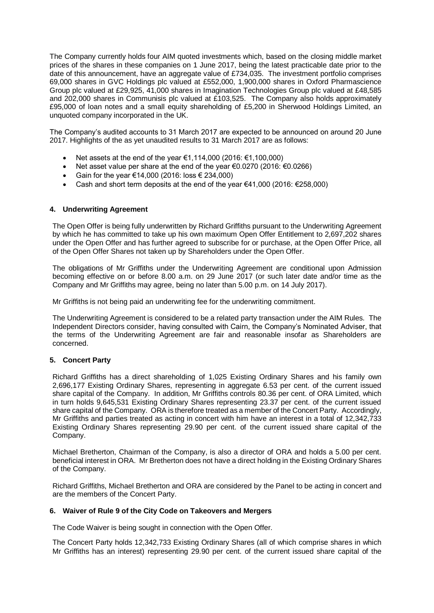The Company currently holds four AIM quoted investments which, based on the closing middle market prices of the shares in these companies on 1 June 2017, being the latest practicable date prior to the date of this announcement, have an aggregate value of £734,035. The investment portfolio comprises 69,000 shares in GVC Holdings plc valued at £552,000, 1,900,000 shares in Oxford Pharmascience Group plc valued at £29,925, 41,000 shares in Imagination Technologies Group plc valued at £48,585 and 202,000 shares in Communisis plc valued at £103,525. The Company also holds approximately £95,000 of loan notes and a small equity shareholding of £5,200 in Sherwood Holdings Limited, an unquoted company incorporated in the UK.

The Company's audited accounts to 31 March 2017 are expected to be announced on around 20 June 2017. Highlights of the as yet unaudited results to 31 March 2017 are as follows:

- Net assets at the end of the year €1,114,000 (2016: €1,100,000)
- Net asset value per share at the end of the year €0.0270 (2016: €0.0266)
- Gain for the year €14,000 (2016: loss  $€ 234,000$ )
- Cash and short term deposits at the end of the year €41,000 (2016:  $€258,000$ )

#### **4. Underwriting Agreement**

The Open Offer is being fully underwritten by Richard Griffiths pursuant to the Underwriting Agreement by which he has committed to take up his own maximum Open Offer Entitlement to 2,697,202 shares under the Open Offer and has further agreed to subscribe for or purchase, at the Open Offer Price, all of the Open Offer Shares not taken up by Shareholders under the Open Offer.

The obligations of Mr Griffiths under the Underwriting Agreement are conditional upon Admission becoming effective on or before 8.00 a.m. on 29 June 2017 (or such later date and/or time as the Company and Mr Griffiths may agree, being no later than 5.00 p.m. on 14 July 2017).

Mr Griffiths is not being paid an underwriting fee for the underwriting commitment.

The Underwriting Agreement is considered to be a related party transaction under the AIM Rules. The Independent Directors consider, having consulted with Cairn, the Company's Nominated Adviser, that the terms of the Underwriting Agreement are fair and reasonable insofar as Shareholders are concerned.

#### **5. Concert Party**

Richard Griffiths has a direct shareholding of 1,025 Existing Ordinary Shares and his family own 2,696,177 Existing Ordinary Shares, representing in aggregate 6.53 per cent. of the current issued share capital of the Company. In addition, Mr Griffiths controls 80.36 per cent. of ORA Limited, which in turn holds 9,645,531 Existing Ordinary Shares representing 23.37 per cent. of the current issued share capital of the Company. ORA is therefore treated as a member of the Concert Party. Accordingly, Mr Griffiths and parties treated as acting in concert with him have an interest in a total of 12,342,733 Existing Ordinary Shares representing 29.90 per cent. of the current issued share capital of the Company.

Michael Bretherton, Chairman of the Company, is also a director of ORA and holds a 5.00 per cent. beneficial interest in ORA. Mr Bretherton does not have a direct holding in the Existing Ordinary Shares of the Company.

Richard Griffiths, Michael Bretherton and ORA are considered by the Panel to be acting in concert and are the members of the Concert Party.

#### **6. Waiver of Rule 9 of the City Code on Takeovers and Mergers**

The Code Waiver is being sought in connection with the Open Offer.

The Concert Party holds 12,342,733 Existing Ordinary Shares (all of which comprise shares in which Mr Griffiths has an interest) representing 29.90 per cent. of the current issued share capital of the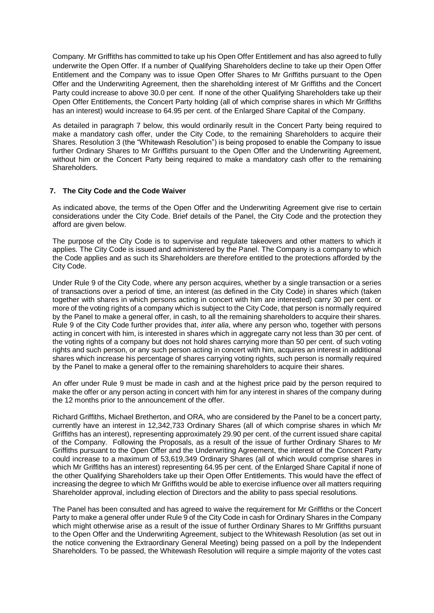Company. Mr Griffiths has committed to take up his Open Offer Entitlement and has also agreed to fully underwrite the Open Offer. If a number of Qualifying Shareholders decline to take up their Open Offer Entitlement and the Company was to issue Open Offer Shares to Mr Griffiths pursuant to the Open Offer and the Underwriting Agreement, then the shareholding interest of Mr Griffiths and the Concert Party could increase to above 30.0 per cent. If none of the other Qualifying Shareholders take up their Open Offer Entitlements, the Concert Party holding (all of which comprise shares in which Mr Griffiths has an interest) would increase to 64.95 per cent. of the Enlarged Share Capital of the Company.

As detailed in paragraph 7 below, this would ordinarily result in the Concert Party being required to make a mandatory cash offer, under the City Code, to the remaining Shareholders to acquire their Shares. Resolution 3 (the "Whitewash Resolution") is being proposed to enable the Company to issue further Ordinary Shares to Mr Griffiths pursuant to the Open Offer and the Underwriting Agreement, without him or the Concert Party being required to make a mandatory cash offer to the remaining Shareholders.

#### **7. The City Code and the Code Waiver**

As indicated above, the terms of the Open Offer and the Underwriting Agreement give rise to certain considerations under the City Code. Brief details of the Panel, the City Code and the protection they afford are given below.

The purpose of the City Code is to supervise and regulate takeovers and other matters to which it applies. The City Code is issued and administered by the Panel. The Company is a company to which the Code applies and as such its Shareholders are therefore entitled to the protections afforded by the City Code.

Under Rule 9 of the City Code, where any person acquires, whether by a single transaction or a series of transactions over a period of time, an interest (as defined in the City Code) in shares which (taken together with shares in which persons acting in concert with him are interested) carry 30 per cent. or more of the voting rights of a company which is subject to the City Code, that person is normally required by the Panel to make a general offer, in cash, to all the remaining shareholders to acquire their shares. Rule 9 of the City Code further provides that, *inter alia*, where any person who, together with persons acting in concert with him, is interested in shares which in aggregate carry not less than 30 per cent. of the voting rights of a company but does not hold shares carrying more than 50 per cent. of such voting rights and such person, or any such person acting in concert with him, acquires an interest in additional shares which increase his percentage of shares carrying voting rights, such person is normally required by the Panel to make a general offer to the remaining shareholders to acquire their shares.

An offer under Rule 9 must be made in cash and at the highest price paid by the person required to make the offer or any person acting in concert with him for any interest in shares of the company during the 12 months prior to the announcement of the offer.

Richard Griffiths, Michael Bretherton, and ORA, who are considered by the Panel to be a concert party, currently have an interest in 12,342,733 Ordinary Shares (all of which comprise shares in which Mr Griffiths has an interest), representing approximately 29.90 per cent. of the current issued share capital of the Company. Following the Proposals, as a result of the issue of further Ordinary Shares to Mr Griffiths pursuant to the Open Offer and the Underwriting Agreement, the interest of the Concert Party could increase to a maximum of 53,619,349 Ordinary Shares (all of which would comprise shares in which Mr Griffiths has an interest) representing 64.95 per cent. of the Enlarged Share Capital if none of the other Qualifying Shareholders take up their Open Offer Entitlements. This would have the effect of increasing the degree to which Mr Griffiths would be able to exercise influence over all matters requiring Shareholder approval, including election of Directors and the ability to pass special resolutions.

The Panel has been consulted and has agreed to waive the requirement for Mr Griffiths or the Concert Party to make a general offer under Rule 9 of the City Code in cash for Ordinary Shares in the Company which might otherwise arise as a result of the issue of further Ordinary Shares to Mr Griffiths pursuant to the Open Offer and the Underwriting Agreement, subject to the Whitewash Resolution (as set out in the notice convening the Extraordinary General Meeting) being passed on a poll by the Independent Shareholders. To be passed, the Whitewash Resolution will require a simple majority of the votes cast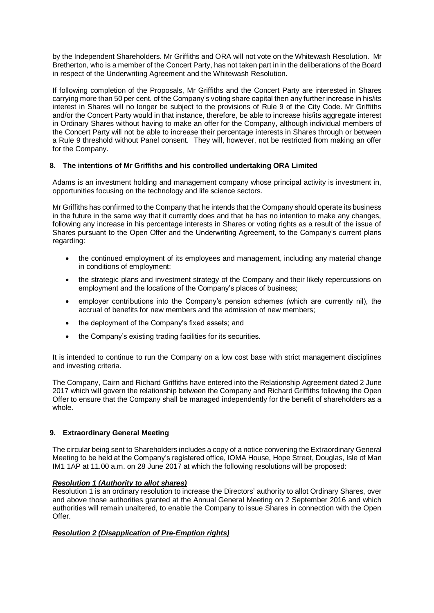by the Independent Shareholders. Mr Griffiths and ORA will not vote on the Whitewash Resolution. Mr Bretherton, who is a member of the Concert Party, has not taken part in in the deliberations of the Board in respect of the Underwriting Agreement and the Whitewash Resolution.

If following completion of the Proposals, Mr Griffiths and the Concert Party are interested in Shares carrying more than 50 per cent. of the Company's voting share capital then any further increase in his/its interest in Shares will no longer be subject to the provisions of Rule 9 of the City Code. Mr Griffiths and/or the Concert Party would in that instance, therefore, be able to increase his/its aggregate interest in Ordinary Shares without having to make an offer for the Company, although individual members of the Concert Party will not be able to increase their percentage interests in Shares through or between a Rule 9 threshold without Panel consent. They will, however, not be restricted from making an offer for the Company.

## **8. The intentions of Mr Griffiths and his controlled undertaking ORA Limited**

Adams is an investment holding and management company whose principal activity is investment in, opportunities focusing on the technology and life science sectors.

Mr Griffiths has confirmed to the Company that he intends that the Company should operate its business in the future in the same way that it currently does and that he has no intention to make any changes, following any increase in his percentage interests in Shares or voting rights as a result of the issue of Shares pursuant to the Open Offer and the Underwriting Agreement, to the Company's current plans regarding:

- the continued employment of its employees and management, including any material change in conditions of employment;
- the strategic plans and investment strategy of the Company and their likely repercussions on employment and the locations of the Company's places of business;
- employer contributions into the Company's pension schemes (which are currently nil), the accrual of benefits for new members and the admission of new members;
- the deployment of the Company's fixed assets; and
- the Company's existing trading facilities for its securities.

It is intended to continue to run the Company on a low cost base with strict management disciplines and investing criteria.

The Company, Cairn and Richard Griffiths have entered into the Relationship Agreement dated 2 June 2017 which will govern the relationship between the Company and Richard Griffiths following the Open Offer to ensure that the Company shall be managed independently for the benefit of shareholders as a whole.

## **9. Extraordinary General Meeting**

The circular being sent to Shareholders includes a copy of a notice convening the Extraordinary General Meeting to be held at the Company's registered office, IOMA House, Hope Street, Douglas, Isle of Man IM1 1AP at 11.00 a.m. on 28 June 2017 at which the following resolutions will be proposed:

## *Resolution 1 (Authority to allot shares)*

Resolution 1 is an ordinary resolution to increase the Directors' authority to allot Ordinary Shares, over and above those authorities granted at the Annual General Meeting on 2 September 2016 and which authorities will remain unaltered, to enable the Company to issue Shares in connection with the Open Offer.

## *Resolution 2 (Disapplication of Pre-Emption rights)*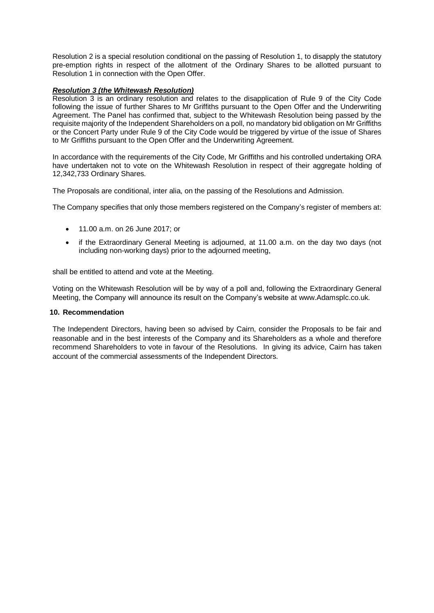Resolution 2 is a special resolution conditional on the passing of Resolution 1, to disapply the statutory pre-emption rights in respect of the allotment of the Ordinary Shares to be allotted pursuant to Resolution 1 in connection with the Open Offer.

### *Resolution 3 (the Whitewash Resolution)*

Resolution 3 is an ordinary resolution and relates to the disapplication of Rule 9 of the City Code following the issue of further Shares to Mr Griffiths pursuant to the Open Offer and the Underwriting Agreement. The Panel has confirmed that, subject to the Whitewash Resolution being passed by the requisite majority of the Independent Shareholders on a poll, no mandatory bid obligation on Mr Griffiths or the Concert Party under Rule 9 of the City Code would be triggered by virtue of the issue of Shares to Mr Griffiths pursuant to the Open Offer and the Underwriting Agreement.

In accordance with the requirements of the City Code, Mr Griffiths and his controlled undertaking ORA have undertaken not to vote on the Whitewash Resolution in respect of their aggregate holding of 12,342,733 Ordinary Shares.

The Proposals are conditional, inter alia, on the passing of the Resolutions and Admission.

The Company specifies that only those members registered on the Company's register of members at:

- 11.00 a.m. on 26 June 2017; or
- if the Extraordinary General Meeting is adjourned, at 11.00 a.m. on the day two days (not including non-working days) prior to the adjourned meeting,

shall be entitled to attend and vote at the Meeting.

Voting on the Whitewash Resolution will be by way of a poll and, following the Extraordinary General Meeting, the Company will announce its result on the Company's website at www.Adamsplc.co.uk.

#### **10. Recommendation**

The Independent Directors, having been so advised by Cairn, consider the Proposals to be fair and reasonable and in the best interests of the Company and its Shareholders as a whole and therefore recommend Shareholders to vote in favour of the Resolutions. In giving its advice, Cairn has taken account of the commercial assessments of the Independent Directors.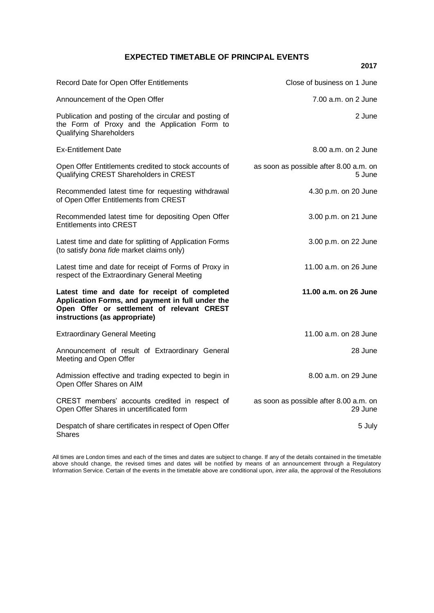## **EXPECTED TIMETABLE OF PRINCIPAL EVENTS**

**2017**

| Record Date for Open Offer Entitlements                                                                                                                                          | Close of business on 1 June                       |
|----------------------------------------------------------------------------------------------------------------------------------------------------------------------------------|---------------------------------------------------|
| Announcement of the Open Offer                                                                                                                                                   | 7.00 a.m. on 2 June                               |
| Publication and posting of the circular and posting of<br>the Form of Proxy and the Application Form to<br><b>Qualifying Shareholders</b>                                        | 2 June                                            |
| <b>Ex-Entitlement Date</b>                                                                                                                                                       | $8.00$ a.m. on $2$ June                           |
| Open Offer Entitlements credited to stock accounts of<br>Qualifying CREST Shareholders in CREST                                                                                  | as soon as possible after 8.00 a.m. on<br>5 June  |
| Recommended latest time for requesting withdrawal<br>of Open Offer Entitlements from CREST                                                                                       | 4.30 p.m. on 20 June                              |
| Recommended latest time for depositing Open Offer<br><b>Entitlements into CREST</b>                                                                                              | 3.00 p.m. on 21 June                              |
| Latest time and date for splitting of Application Forms<br>(to satisfy bona fide market claims only)                                                                             | 3.00 p.m. on 22 June                              |
| Latest time and date for receipt of Forms of Proxy in<br>respect of the Extraordinary General Meeting                                                                            | 11.00 a.m. on 26 June                             |
| Latest time and date for receipt of completed<br>Application Forms, and payment in full under the<br>Open Offer or settlement of relevant CREST<br>instructions (as appropriate) | 11.00 a.m. on 26 June                             |
| <b>Extraordinary General Meeting</b>                                                                                                                                             | 11.00 a.m. on 28 June                             |
| Announcement of result of Extraordinary General<br>Meeting and Open Offer                                                                                                        | 28 June                                           |
| Admission effective and trading expected to begin in<br>Open Offer Shares on AIM                                                                                                 | 8.00 a.m. on 29 June                              |
| CREST members' accounts credited in respect of<br>Open Offer Shares in uncertificated form                                                                                       | as soon as possible after 8.00 a.m. on<br>29 June |
| Despatch of share certificates in respect of Open Offer<br>Shares                                                                                                                | 5 July                                            |

All times are London times and each of the times and dates are subject to change. If any of the details contained in the timetable above should change, the revised times and dates will be notified by means of an announcement through a Regulatory Information Service. Certain of the events in the timetable above are conditional upon, *inter alia*, the approval of the Resolutions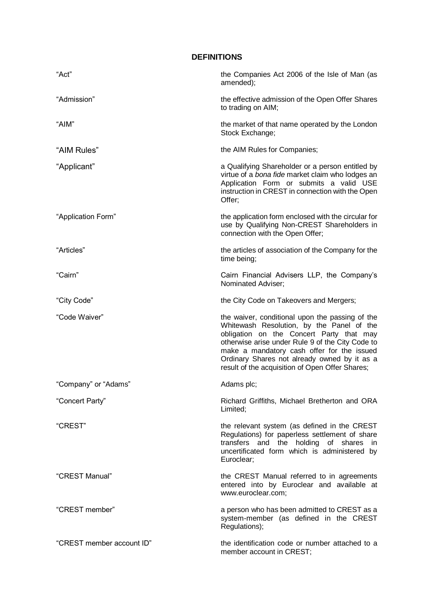| <b>DEFINITIONS</b>        |                                                                                                                                                                                                                                                                                                                                               |  |
|---------------------------|-----------------------------------------------------------------------------------------------------------------------------------------------------------------------------------------------------------------------------------------------------------------------------------------------------------------------------------------------|--|
| "Act"                     | the Companies Act 2006 of the Isle of Man (as<br>amended);                                                                                                                                                                                                                                                                                    |  |
| "Admission"               | the effective admission of the Open Offer Shares<br>to trading on AIM;                                                                                                                                                                                                                                                                        |  |
| "AIM"                     | the market of that name operated by the London<br>Stock Exchange;                                                                                                                                                                                                                                                                             |  |
| "AIM Rules"               | the AIM Rules for Companies;                                                                                                                                                                                                                                                                                                                  |  |
| "Applicant"               | a Qualifying Shareholder or a person entitled by<br>virtue of a bona fide market claim who lodges an<br>Application Form or submits a valid USE<br>instruction in CREST in connection with the Open<br>Offer;                                                                                                                                 |  |
| "Application Form"        | the application form enclosed with the circular for<br>use by Qualifying Non-CREST Shareholders in<br>connection with the Open Offer;                                                                                                                                                                                                         |  |
| "Articles"                | the articles of association of the Company for the<br>time being;                                                                                                                                                                                                                                                                             |  |
| "Cairn"                   | Cairn Financial Advisers LLP, the Company's<br>Nominated Adviser;                                                                                                                                                                                                                                                                             |  |
| "City Code"               | the City Code on Takeovers and Mergers;                                                                                                                                                                                                                                                                                                       |  |
| "Code Waiver"             | the waiver, conditional upon the passing of the<br>Whitewash Resolution, by the Panel of the<br>obligation on the Concert Party that may<br>otherwise arise under Rule 9 of the City Code to<br>make a mandatory cash offer for the issued<br>Ordinary Shares not already owned by it as a<br>result of the acquisition of Open Offer Shares; |  |
| "Company" or "Adams"      | Adams plc;                                                                                                                                                                                                                                                                                                                                    |  |
| "Concert Party"           | Richard Griffiths, Michael Bretherton and ORA<br>Limited;                                                                                                                                                                                                                                                                                     |  |
| "CREST"                   | the relevant system (as defined in the CREST<br>Regulations) for paperless settlement of share<br>transfers and the holding of shares in<br>uncertificated form which is administered by<br>Euroclear;                                                                                                                                        |  |
| "CREST Manual"            | the CREST Manual referred to in agreements<br>entered into by Euroclear and available at<br>www.euroclear.com;                                                                                                                                                                                                                                |  |
| "CREST member"            | a person who has been admitted to CREST as a<br>system-member (as defined in the CREST<br>Regulations);                                                                                                                                                                                                                                       |  |
| "CREST member account ID" | the identification code or number attached to a<br>member account in CREST;                                                                                                                                                                                                                                                                   |  |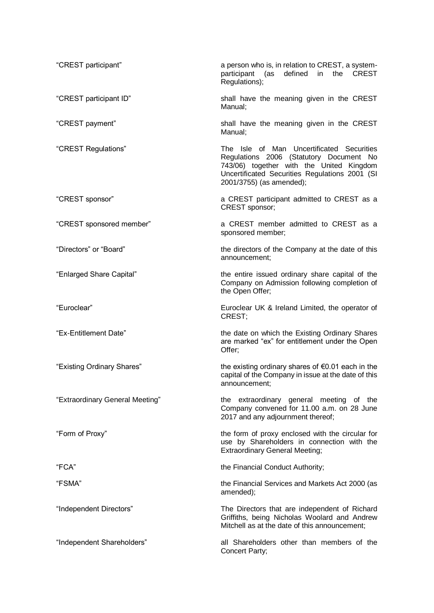| "CREST participant"             | a person who is, in relation to CREST, a system-<br>participant<br>defined<br><b>CREST</b><br>(as<br>in<br>the<br>Regulations);                                                                                |
|---------------------------------|----------------------------------------------------------------------------------------------------------------------------------------------------------------------------------------------------------------|
| "CREST participant ID"          | shall have the meaning given in the CREST<br>Manual:                                                                                                                                                           |
| "CREST payment"                 | shall have the meaning given in the CREST<br>Manual;                                                                                                                                                           |
| "CREST Regulations"             | The Isle of Man Uncertificated Securities<br>Regulations 2006 (Statutory Document No<br>743/06) together with the United Kingdom<br>Uncertificated Securities Regulations 2001 (SI<br>2001/3755) (as amended); |
| "CREST sponsor"                 | a CREST participant admitted to CREST as a<br>CREST sponsor;                                                                                                                                                   |
| "CREST sponsored member"        | a CREST member admitted to CREST as a<br>sponsored member;                                                                                                                                                     |
| "Directors" or "Board"          | the directors of the Company at the date of this<br>announcement;                                                                                                                                              |
| "Enlarged Share Capital"        | the entire issued ordinary share capital of the<br>Company on Admission following completion of<br>the Open Offer;                                                                                             |
| "Euroclear"                     | Euroclear UK & Ireland Limited, the operator of<br>CREST;                                                                                                                                                      |
| "Ex-Entitlement Date"           | the date on which the Existing Ordinary Shares<br>are marked "ex" for entitlement under the Open<br>Offer;                                                                                                     |
| "Existing Ordinary Shares"      | the existing ordinary shares of $\epsilon$ 0.01 each in the<br>capital of the Company in issue at the date of this<br>announcement;                                                                            |
| "Extraordinary General Meeting" | the extraordinary general meeting of the<br>Company convened for 11.00 a.m. on 28 June<br>2017 and any adjournment thereof;                                                                                    |
| "Form of Proxy"                 | the form of proxy enclosed with the circular for<br>use by Shareholders in connection with the<br><b>Extraordinary General Meeting;</b>                                                                        |
| "FCA"                           | the Financial Conduct Authority;                                                                                                                                                                               |
| "FSMA"                          | the Financial Services and Markets Act 2000 (as<br>amended);                                                                                                                                                   |
| "Independent Directors"         | The Directors that are independent of Richard<br>Griffiths, being Nicholas Woolard and Andrew<br>Mitchell as at the date of this announcement;                                                                 |
| "Independent Shareholders"      | all Shareholders other than members of the<br>Concert Party;                                                                                                                                                   |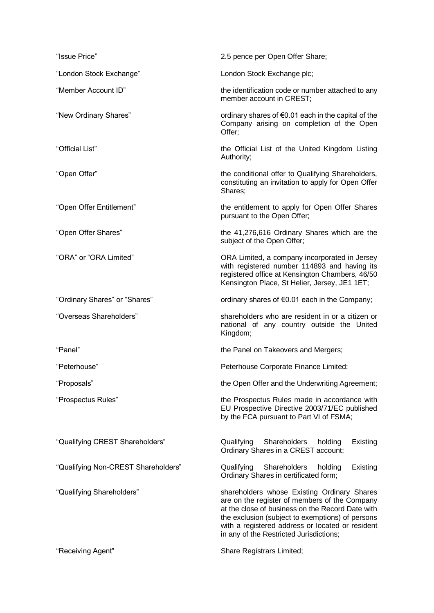| "Issue Price"                       | 2.5 pence per Open Offer Share;                                                                                                                                                                                                                                                                     |
|-------------------------------------|-----------------------------------------------------------------------------------------------------------------------------------------------------------------------------------------------------------------------------------------------------------------------------------------------------|
| "London Stock Exchange"             | London Stock Exchange plc;                                                                                                                                                                                                                                                                          |
| "Member Account ID"                 | the identification code or number attached to any<br>member account in CREST;                                                                                                                                                                                                                       |
| "New Ordinary Shares"               | ordinary shares of $\epsilon$ 0.01 each in the capital of the<br>Company arising on completion of the Open<br>Offer:                                                                                                                                                                                |
| "Official List"                     | the Official List of the United Kingdom Listing<br>Authority;                                                                                                                                                                                                                                       |
| "Open Offer"                        | the conditional offer to Qualifying Shareholders,<br>constituting an invitation to apply for Open Offer<br>Shares:                                                                                                                                                                                  |
| "Open Offer Entitlement"            | the entitlement to apply for Open Offer Shares<br>pursuant to the Open Offer;                                                                                                                                                                                                                       |
| "Open Offer Shares"                 | the 41,276,616 Ordinary Shares which are the<br>subject of the Open Offer;                                                                                                                                                                                                                          |
| "ORA" or "ORA Limited"              | ORA Limited, a company incorporated in Jersey<br>with registered number 114893 and having its<br>registered office at Kensington Chambers, 46/50<br>Kensington Place, St Helier, Jersey, JE1 1ET;                                                                                                   |
| "Ordinary Shares" or "Shares"       | ordinary shares of $\epsilon$ 0.01 each in the Company;                                                                                                                                                                                                                                             |
| "Overseas Shareholders"             | shareholders who are resident in or a citizen or<br>national of any country outside the United<br>Kingdom;                                                                                                                                                                                          |
| "Panel"                             | the Panel on Takeovers and Mergers;                                                                                                                                                                                                                                                                 |
| "Peterhouse"                        | Peterhouse Corporate Finance Limited;                                                                                                                                                                                                                                                               |
| "Proposals"                         | the Open Offer and the Underwriting Agreement;                                                                                                                                                                                                                                                      |
| "Prospectus Rules"                  | the Prospectus Rules made in accordance with<br>EU Prospective Directive 2003/71/EC published<br>by the FCA pursuant to Part VI of FSMA;                                                                                                                                                            |
| "Qualifying CREST Shareholders"     | Qualifying<br>Shareholders<br>Existing<br>holding<br>Ordinary Shares in a CREST account;                                                                                                                                                                                                            |
| "Qualifying Non-CREST Shareholders" | Shareholders holding<br>Qualifying<br>Existing<br>Ordinary Shares in certificated form;                                                                                                                                                                                                             |
| "Qualifying Shareholders"           | shareholders whose Existing Ordinary Shares<br>are on the register of members of the Company<br>at the close of business on the Record Date with<br>the exclusion (subject to exemptions) of persons<br>with a registered address or located or resident<br>in any of the Restricted Jurisdictions; |
| "Receiving Agent"                   | Share Registrars Limited;                                                                                                                                                                                                                                                                           |